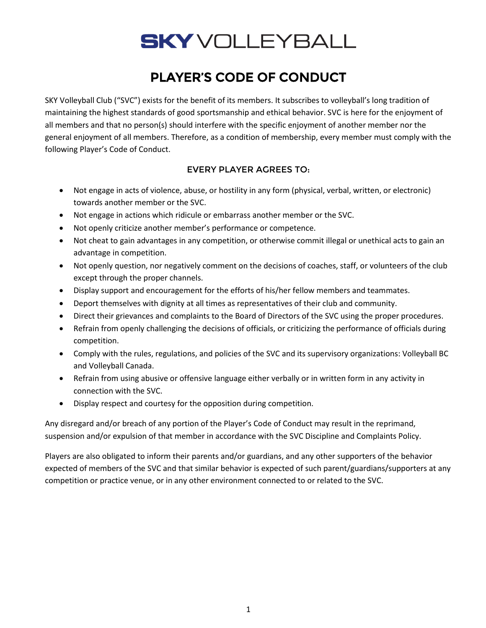# **SKY** VOLLEYBALL

## PLAYER'S CODE OF CONDUCT

SKY Volleyball Club ("SVC") exists for the benefit of its members. It subscribes to volleyball's long tradition of maintaining the highest standards of good sportsmanship and ethical behavior. SVC is here for the enjoyment of all members and that no person(s) should interfere with the specific enjoyment of another member nor the general enjoyment of all members. Therefore, as a condition of membership, every member must comply with the following Player's Code of Conduct.

#### EVERY PLAYER AGREES TO:

- Not engage in acts of violence, abuse, or hostility in any form (physical, verbal, written, or electronic) towards another member or the SVC.
- Not engage in actions which ridicule or embarrass another member or the SVC.
- Not openly criticize another member's performance or competence.
- Not cheat to gain advantages in any competition, or otherwise commit illegal or unethical acts to gain an advantage in competition.
- Not openly question, nor negatively comment on the decisions of coaches, staff, or volunteers of the club except through the proper channels.
- Display support and encouragement for the efforts of his/her fellow members and teammates.
- Deport themselves with dignity at all times as representatives of their club and community.
- Direct their grievances and complaints to the Board of Directors of the SVC using the proper procedures.
- Refrain from openly challenging the decisions of officials, or criticizing the performance of officials during competition.
- Comply with the rules, regulations, and policies of the SVC and its supervisory organizations: Volleyball BC and Volleyball Canada.
- Refrain from using abusive or offensive language either verbally or in written form in any activity in connection with the SVC.
- Display respect and courtesy for the opposition during competition.

Any disregard and/or breach of any portion of the Player's Code of Conduct may result in the reprimand, suspension and/or expulsion of that member in accordance with the SVC Discipline and Complaints Policy.

Players are also obligated to inform their parents and/or guardians, and any other supporters of the behavior expected of members of the SVC and that similar behavior is expected of such parent/guardians/supporters at any competition or practice venue, or in any other environment connected to or related to the SVC.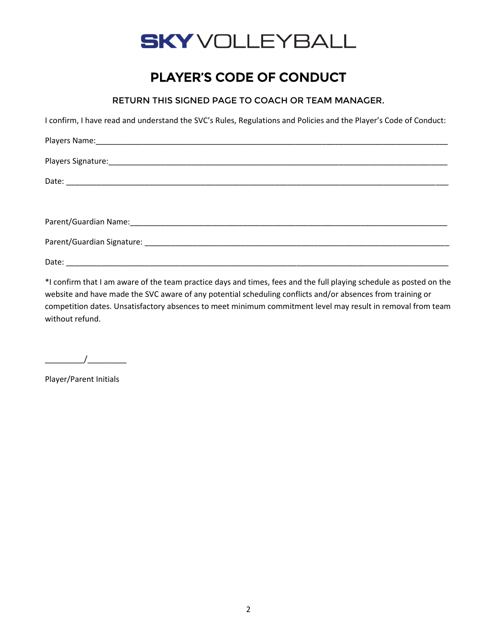

### PLAYER'S CODE OF CONDUCT

RETURN THIS SIGNED PAGE TO COACH OR TEAM MANAGER.

I confirm, I have read and understand the SVC's Rules, Regulations and Policies and the Player's Code of Conduct:

\*I confirm that I am aware of the team practice days and times, fees and the full playing schedule as posted on the website and have made the SVC aware of any potential scheduling conflicts and/or absences from training or competition dates. Unsatisfactory absences to meet minimum commitment level may result in removal from team without refund.

 $\overline{1}$ 

Player/Parent Initials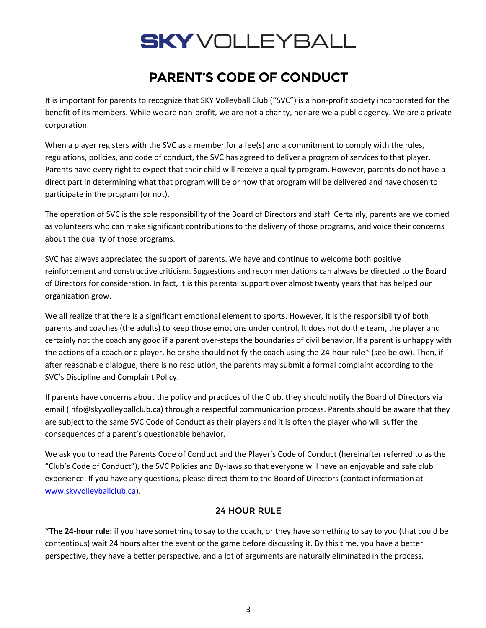# **SKY** VOLLEYBALL

## PARENT'S CODE OF CONDUCT

It is important for parents to recognize that SKY Volleyball Club ("SVC") is a non-profit society incorporated for the benefit of its members. While we are non-profit, we are not a charity, nor are we a public agency. We are a private corporation.

When a player registers with the SVC as a member for a fee(s) and a commitment to comply with the rules, regulations, policies, and code of conduct, the SVC has agreed to deliver a program of services to that player. Parents have every right to expect that their child will receive a quality program. However, parents do not have a direct part in determining what that program will be or how that program will be delivered and have chosen to participate in the program (or not).

The operation of SVC is the sole responsibility of the Board of Directors and staff. Certainly, parents are welcomed as volunteers who can make significant contributions to the delivery of those programs, and voice their concerns about the quality of those programs.

SVC has always appreciated the support of parents. We have and continue to welcome both positive reinforcement and constructive criticism. Suggestions and recommendations can always be directed to the Board of Directors for consideration. In fact, it is this parental support over almost twenty years that has helped our organization grow.

We all realize that there is a significant emotional element to sports. However, it is the responsibility of both parents and coaches (the adults) to keep those emotions under control. It does not do the team, the player and certainly not the coach any good if a parent over-steps the boundaries of civil behavior. If a parent is unhappy with the actions of a coach or a player, he or she should notify the coach using the 24-hour rule\* (see below). Then, if after reasonable dialogue, there is no resolution, the parents may submit a formal complaint according to the SVC's Discipline and Complaint Policy.

If parents have concerns about the policy and practices of the Club, they should notify the Board of Directors via email (info@skyvolleyballclub.ca) through a respectful communication process. Parents should be aware that they are subject to the same SVC Code of Conduct as their players and it is often the player who will suffer the consequences of a parent's questionable behavior.

We ask you to read the Parents Code of Conduct and the Player's Code of Conduct (hereinafter referred to as the "Club's Code of Conduct"), the SVC Policies and By-laws so that everyone will have an enjoyable and safe club experience. If you have any questions, please direct them to the Board of Directors (contact information at [www.skyvolleyballclub.ca\)](http://www.skyvolleyballclub.ca/).

#### 24 HOUR RULE

**\*The 24-hour rule:** if you have something to say to the coach, or they have something to say to you (that could be contentious) wait 24 hours after the event or the game before discussing it. By this time, you have a better perspective, they have a better perspective, and a lot of arguments are naturally eliminated in the process.